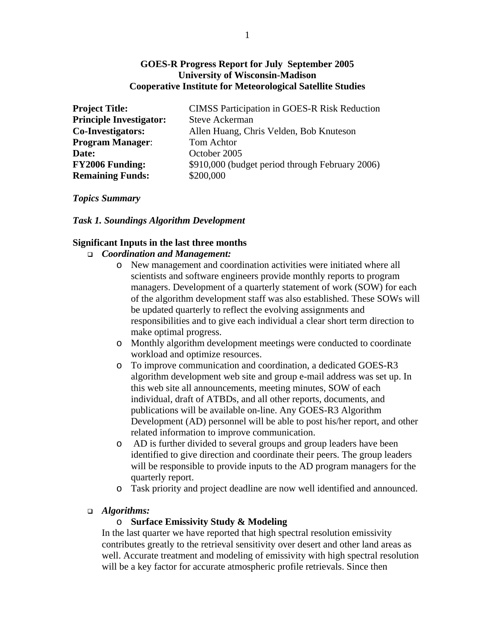## **GOES-R Progress Report for July September 2005 University of Wisconsin-Madison Cooperative Institute for Meteorological Satellite Studies**

| <b>Project Title:</b>          | <b>CIMSS Participation in GOES-R Risk Reduction</b> |
|--------------------------------|-----------------------------------------------------|
| <b>Principle Investigator:</b> | <b>Steve Ackerman</b>                               |
| <b>Co-Investigators:</b>       | Allen Huang, Chris Velden, Bob Knuteson             |
| <b>Program Manager:</b>        | Tom Achtor                                          |
| Date:                          | October 2005                                        |
| <b>FY2006 Funding:</b>         | \$910,000 (budget period through February 2006)     |
| <b>Remaining Funds:</b>        | \$200,000                                           |

#### *Topics Summary*

#### *Task 1. Soundings Algorithm Development*

#### **Significant Inputs in the last three months**

- *Coordination and Management:* 
	- o New management and coordination activities were initiated where all scientists and software engineers provide monthly reports to program managers. Development of a quarterly statement of work (SOW) for each of the algorithm development staff was also established. These SOWs will be updated quarterly to reflect the evolving assignments and responsibilities and to give each individual a clear short term direction to make optimal progress.
	- o Monthly algorithm development meetings were conducted to coordinate workload and optimize resources.
	- o To improve communication and coordination, a dedicated GOES-R3 algorithm development web site and group e-mail address was set up. In this web site all announcements, meeting minutes, SOW of each individual, draft of ATBDs, and all other reports, documents, and publications will be available on-line. Any GOES-R3 Algorithm Development (AD) personnel will be able to post his/her report, and other related information to improve communication.
	- o AD is further divided to several groups and group leaders have been identified to give direction and coordinate their peers. The group leaders will be responsible to provide inputs to the AD program managers for the quarterly report.
	- o Task priority and project deadline are now well identified and announced.

#### *Algorithms:*

#### o **Surface Emissivity Study & Modeling**

In the last quarter we have reported that high spectral resolution emissivity contributes greatly to the retrieval sensitivity over desert and other land areas as well. Accurate treatment and modeling of emissivity with high spectral resolution will be a key factor for accurate atmospheric profile retrievals. Since then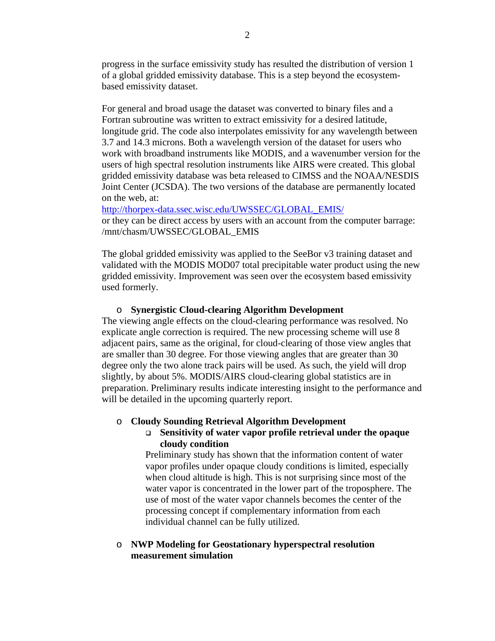progress in the surface emissivity study has resulted the distribution of version 1 of a global gridded emissivity database. This is a step beyond the ecosystembased emissivity dataset.

For general and broad usage the dataset was converted to binary files and a Fortran subroutine was written to extract emissivity for a desired latitude, longitude grid. The code also interpolates emissivity for any wavelength between 3.7 and 14.3 microns. Both a wavelength version of the dataset for users who work with broadband instruments like MODIS, and a wavenumber version for the users of high spectral resolution instruments like AIRS were created. This global gridded emissivity database was beta released to CIMSS and the NOAA/NESDIS Joint Center (JCSDA). The two versions of the database are permanently located on the web, at:

http://thorpex-data.ssec.wisc.edu/UWSSEC/GLOBAL\_EMIS/ or they can be direct access by users with an account from the computer barrage: /mnt/chasm/UWSSEC/GLOBAL\_EMIS

The global gridded emissivity was applied to the SeeBor v3 training dataset and validated with the MODIS MOD07 total precipitable water product using the new gridded emissivity. Improvement was seen over the ecosystem based emissivity used formerly.

#### o **Synergistic Cloud-clearing Algorithm Development**

The viewing angle effects on the cloud-clearing performance was resolved. No explicate angle correction is required. The new processing scheme will use 8 adjacent pairs, same as the original, for cloud-clearing of those view angles that are smaller than 30 degree. For those viewing angles that are greater than 30 degree only the two alone track pairs will be used. As such, the yield will drop slightly, by about 5%. MODIS/AIRS cloud-clearing global statistics are in preparation. Preliminary results indicate interesting insight to the performance and will be detailed in the upcoming quarterly report.

#### o **Cloudy Sounding Retrieval Algorithm Development**

 **Sensitivity of water vapor profile retrieval under the opaque cloudy condition** 

Preliminary study has shown that the information content of water vapor profiles under opaque cloudy conditions is limited, especially when cloud altitude is high. This is not surprising since most of the water vapor is concentrated in the lower part of the troposphere. The use of most of the water vapor channels becomes the center of the processing concept if complementary information from each individual channel can be fully utilized.

#### o **NWP Modeling for Geostationary hyperspectral resolution measurement simulation**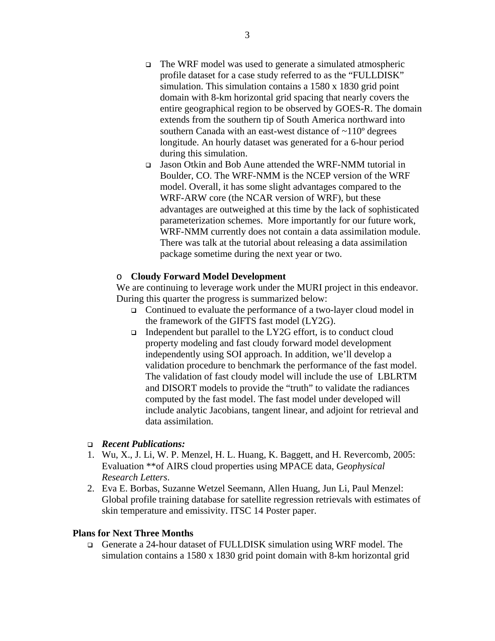- The WRF model was used to generate a simulated atmospheric profile dataset for a case study referred to as the "FULLDISK" simulation. This simulation contains a 1580 x 1830 grid point domain with 8-km horizontal grid spacing that nearly covers the entire geographical region to be observed by GOES-R. The domain extends from the southern tip of South America northward into southern Canada with an east-west distance of ~110º degrees longitude. An hourly dataset was generated for a 6-hour period during this simulation.
- Jason Otkin and Bob Aune attended the WRF-NMM tutorial in Boulder, CO. The WRF-NMM is the NCEP version of the WRF model. Overall, it has some slight advantages compared to the WRF-ARW core (the NCAR version of WRF), but these advantages are outweighed at this time by the lack of sophisticated parameterization schemes. More importantly for our future work, WRF-NMM currently does not contain a data assimilation module. There was talk at the tutorial about releasing a data assimilation package sometime during the next year or two.

## o **Cloudy Forward Model Development**

We are continuing to leverage work under the MURI project in this endeavor. During this quarter the progress is summarized below:

- Continued to evaluate the performance of a two-layer cloud model in the framework of the GIFTS fast model (LY2G).
- Independent but parallel to the LY2G effort, is to conduct cloud property modeling and fast cloudy forward model development independently using SOI approach. In addition, we'll develop a validation procedure to benchmark the performance of the fast model. The validation of fast cloudy model will include the use of LBLRTM and DISORT models to provide the "truth" to validate the radiances computed by the fast model. The fast model under developed will include analytic Jacobians, tangent linear, and adjoint for retrieval and data assimilation.

## *Recent Publications:*

- 1. Wu, X., J. Li, W. P. Menzel, H. L. Huang, K. Baggett, and H. Revercomb, 2005: Evaluation \*\*of AIRS cloud properties using MPACE data, G*eophysical Research Letters*.
- 2. Eva E. Borbas, Suzanne Wetzel Seemann, Allen Huang, Jun Li, Paul Menzel: Global profile training database for satellite regression retrievals with estimates of skin temperature and emissivity. ITSC 14 Poster paper.

## **Plans for Next Three Months**

 Generate a 24-hour dataset of FULLDISK simulation using WRF model. The simulation contains a 1580 x 1830 grid point domain with 8-km horizontal grid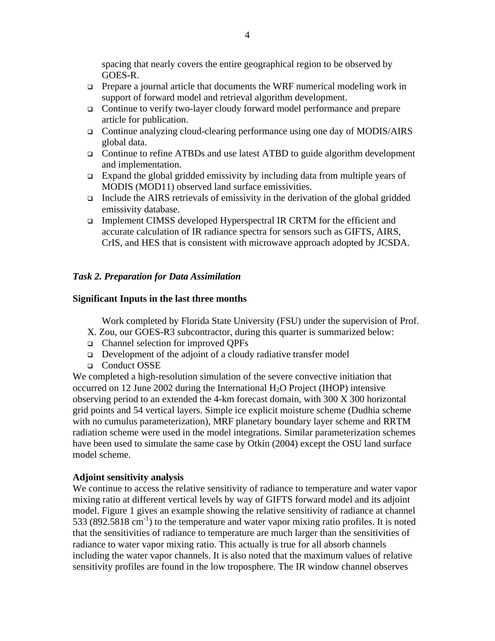spacing that nearly covers the entire geographical region to be observed by GOES-R.

- **Prepare a journal article that documents the WRF numerical modeling work in** support of forward model and retrieval algorithm development.
- Continue to verify two-layer cloudy forward model performance and prepare article for publication.
- Continue analyzing cloud-clearing performance using one day of MODIS/AIRS global data.
- Continue to refine ATBDs and use latest ATBD to guide algorithm development and implementation.
- Expand the global gridded emissivity by including data from multiple years of MODIS (MOD11) observed land surface emissivities.
- Include the AIRS retrievals of emissivity in the derivation of the global gridded emissivity database.
- Implement CIMSS developed Hyperspectral IR CRTM for the efficient and accurate calculation of IR radiance spectra for sensors such as GIFTS, AIRS, CrIS, and HES that is consistent with microwave approach adopted by JCSDA.

## *Task 2. Preparation for Data Assimilation*

## **Significant Inputs in the last three months**

Work completed by Florida State University (FSU) under the supervision of Prof.

- X. Zou, our GOES-R3 subcontractor, during this quarter is summarized below:
- Channel selection for improved QPFs
- $\Box$  Development of the adjoint of a cloudy radiative transfer model
- □ Conduct OSSE

We completed a high-resolution simulation of the severe convective initiation that occurred on 12 June 2002 during the International  $H_2O$  Project (IHOP) intensive observing period to an extended the 4-km forecast domain, with 300 X 300 horizontal grid points and 54 vertical layers. Simple ice explicit moisture scheme (Dudhia scheme with no cumulus parameterization), MRF planetary boundary layer scheme and RRTM radiation scheme were used in the model integrations. Similar parameterization schemes have been used to simulate the same case by Otkin (2004) except the OSU land surface model scheme.

## **Adjoint sensitivity analysis**

We continue to access the relative sensitivity of radiance to temperature and water vapor mixing ratio at different vertical levels by way of GIFTS forward model and its adjoint model. Figure 1 gives an example showing the relative sensitivity of radiance at channel 533 (892.5818 cm<sup>-1</sup>) to the temperature and water vapor mixing ratio profiles. It is noted that the sensitivities of radiance to temperature are much larger than the sensitivities of radiance to water vapor mixing ratio. This actually is true for all absorb channels including the water vapor channels. It is also noted that the maximum values of relative sensitivity profiles are found in the low troposphere. The IR window channel observes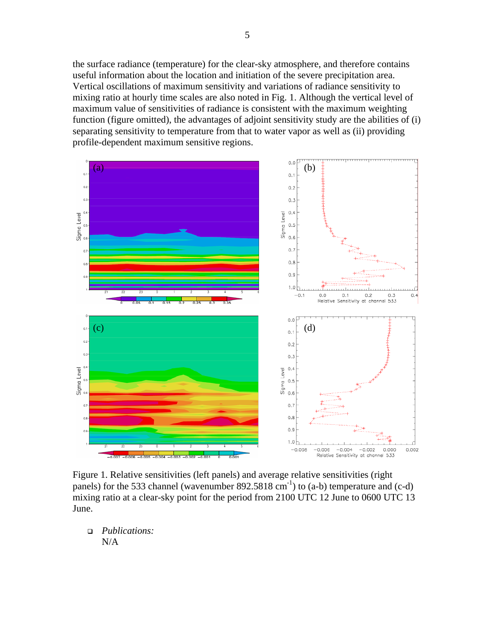the surface radiance (temperature) for the clear-sky atmosphere, and therefore contains useful information about the location and initiation of the severe precipitation area. Vertical oscillations of maximum sensitivity and variations of radiance sensitivity to mixing ratio at hourly time scales are also noted in Fig. 1. Although the vertical level of maximum value of sensitivities of radiance is consistent with the maximum weighting function (figure omitted), the advantages of adjoint sensitivity study are the abilities of (i) separating sensitivity to temperature from that to water vapor as well as (ii) providing profile-dependent maximum sensitive regions.



Figure 1. Relative sensitivities (left panels) and average relative sensitivities (right panels) for the 533 channel (wavenumber  $892.5818 \text{ cm}^{-1}$ ) to (a-b) temperature and (c-d) mixing ratio at a clear-sky point for the period from 2100 UTC 12 June to 0600 UTC 13 June.

 *Publications:*  N/A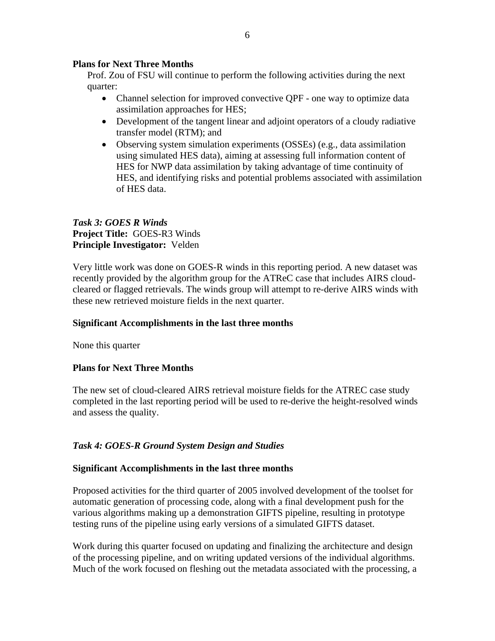## **Plans for Next Three Months**

Prof. Zou of FSU will continue to perform the following activities during the next quarter:

- Channel selection for improved convective QPF one way to optimize data assimilation approaches for HES;
- Development of the tangent linear and adjoint operators of a cloudy radiative transfer model (RTM); and
- Observing system simulation experiments (OSSEs) (e.g., data assimilation using simulated HES data), aiming at assessing full information content of HES for NWP data assimilation by taking advantage of time continuity of HES, and identifying risks and potential problems associated with assimilation of HES data.

# *Task 3: GOES R Winds*  **Project Title:** GOES-R3 Winds **Principle Investigator:** Velden

Very little work was done on GOES-R winds in this reporting period. A new dataset was recently provided by the algorithm group for the ATReC case that includes AIRS cloudcleared or flagged retrievals. The winds group will attempt to re-derive AIRS winds with these new retrieved moisture fields in the next quarter.

# **Significant Accomplishments in the last three months**

None this quarter

# **Plans for Next Three Months**

The new set of cloud-cleared AIRS retrieval moisture fields for the ATREC case study completed in the last reporting period will be used to re-derive the height-resolved winds and assess the quality.

# *Task 4: GOES-R Ground System Design and Studies*

## **Significant Accomplishments in the last three months**

Proposed activities for the third quarter of 2005 involved development of the toolset for automatic generation of processing code, along with a final development push for the various algorithms making up a demonstration GIFTS pipeline, resulting in prototype testing runs of the pipeline using early versions of a simulated GIFTS dataset.

Work during this quarter focused on updating and finalizing the architecture and design of the processing pipeline, and on writing updated versions of the individual algorithms. Much of the work focused on fleshing out the metadata associated with the processing, a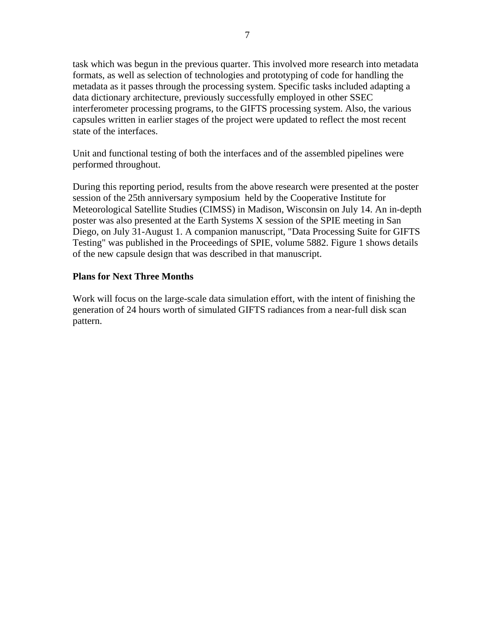task which was begun in the previous quarter. This involved more research into metadata formats, as well as selection of technologies and prototyping of code for handling the metadata as it passes through the processing system. Specific tasks included adapting a data dictionary architecture, previously successfully employed in other SSEC interferometer processing programs, to the GIFTS processing system. Also, the various capsules written in earlier stages of the project were updated to reflect the most recent state of the interfaces.

Unit and functional testing of both the interfaces and of the assembled pipelines were performed throughout.

During this reporting period, results from the above research were presented at the poster session of the 25th anniversary symposium held by the Cooperative Institute for Meteorological Satellite Studies (CIMSS) in Madison, Wisconsin on July 14. An in-depth poster was also presented at the Earth Systems X session of the SPIE meeting in San Diego, on July 31-August 1. A companion manuscript, "Data Processing Suite for GIFTS Testing" was published in the Proceedings of SPIE, volume 5882. Figure 1 shows details of the new capsule design that was described in that manuscript.

## **Plans for Next Three Months**

Work will focus on the large-scale data simulation effort, with the intent of finishing the generation of 24 hours worth of simulated GIFTS radiances from a near-full disk scan pattern.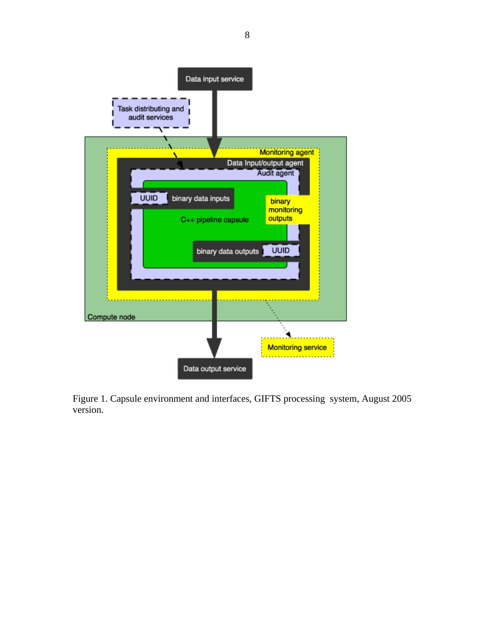

Figure 1. Capsule environment and interfaces, GIFTS processing system, August 2005 version.